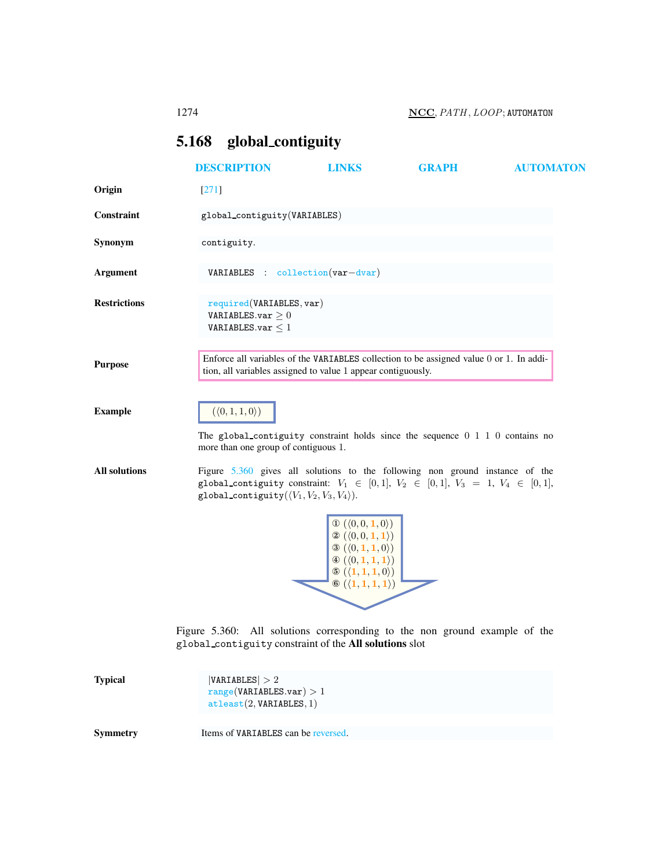## <span id="page-0-0"></span>5.168 global contiguity

|                      | <b>DESCRIPTION</b>                                                                                                                                                                                                                                                          | <b>LINKS</b>                                                                                                                                                                                                                                                                               | <b>GRAPH</b>                                                                            | <b>AUTOMATON</b> |
|----------------------|-----------------------------------------------------------------------------------------------------------------------------------------------------------------------------------------------------------------------------------------------------------------------------|--------------------------------------------------------------------------------------------------------------------------------------------------------------------------------------------------------------------------------------------------------------------------------------------|-----------------------------------------------------------------------------------------|------------------|
| Origin               | $[271]$                                                                                                                                                                                                                                                                     |                                                                                                                                                                                                                                                                                            |                                                                                         |                  |
| Constraint           | global_contiguity(VARIABLES)                                                                                                                                                                                                                                                |                                                                                                                                                                                                                                                                                            |                                                                                         |                  |
| Synonym              | contiguity.                                                                                                                                                                                                                                                                 |                                                                                                                                                                                                                                                                                            |                                                                                         |                  |
| Argument             | VARIABLES : collection(var-dvar)                                                                                                                                                                                                                                            |                                                                                                                                                                                                                                                                                            |                                                                                         |                  |
| <b>Restrictions</b>  | required(VARIABLES, var)<br>VARIABLES.var $\geq 0$<br>VARIABLES.var $\leq 1$                                                                                                                                                                                                |                                                                                                                                                                                                                                                                                            |                                                                                         |                  |
| <b>Purpose</b>       | tion, all variables assigned to value 1 appear contiguously.                                                                                                                                                                                                                |                                                                                                                                                                                                                                                                                            | Enforce all variables of the VARIABLES collection to be assigned value 0 or 1. In addi- |                  |
| <b>Example</b>       | $(\langle 0, 1, 1, 0 \rangle)$<br>The global contiguity constraint holds since the sequence $0 \t1 \t1 \t0$ contains no                                                                                                                                                     |                                                                                                                                                                                                                                                                                            |                                                                                         |                  |
| <b>All solutions</b> | more than one group of contiguous 1.<br>Figure 5.360 gives all solutions to the following non ground instance of the<br>global_contiguity constraint: $V_1 \in [0,1], V_2 \in [0,1], V_3 = 1, V_4 \in [0,1],$<br>global_contiguity( $\langle V_1, V_2, V_3, V_4 \rangle$ ). |                                                                                                                                                                                                                                                                                            |                                                                                         |                  |
|                      |                                                                                                                                                                                                                                                                             | $\mathbb{O}(\langle 0,0,\mathbf{1},0\rangle)$<br>$\mathcal{D}(\langle 0,0,\mathbf{1},\mathbf{1}\rangle)$<br>$\mathcal{D}(\langle 0,1,\mathbf{1},0\rangle)$<br>$\Phi\left(\langle 0,1,1,1\rangle\right)$<br>$\odot (\langle 1, 1, 1, 0 \rangle)$<br>$\circledast (\langle 1,1,1,1 \rangle)$ |                                                                                         |                  |
|                      | Figure 5.360: All solutions corresponding to the non ground example of the<br>global_contiguity constraint of the All solutions slot                                                                                                                                        |                                                                                                                                                                                                                                                                                            |                                                                                         |                  |
| <b>Typical</b>       | VARIABLES  > 2<br>range(VARIABLES.var) > 1<br>attleast(2, VARIABLES, 1)                                                                                                                                                                                                     |                                                                                                                                                                                                                                                                                            |                                                                                         |                  |

<span id="page-0-1"></span>

Symmetry Items of VARIABLES can be reversed.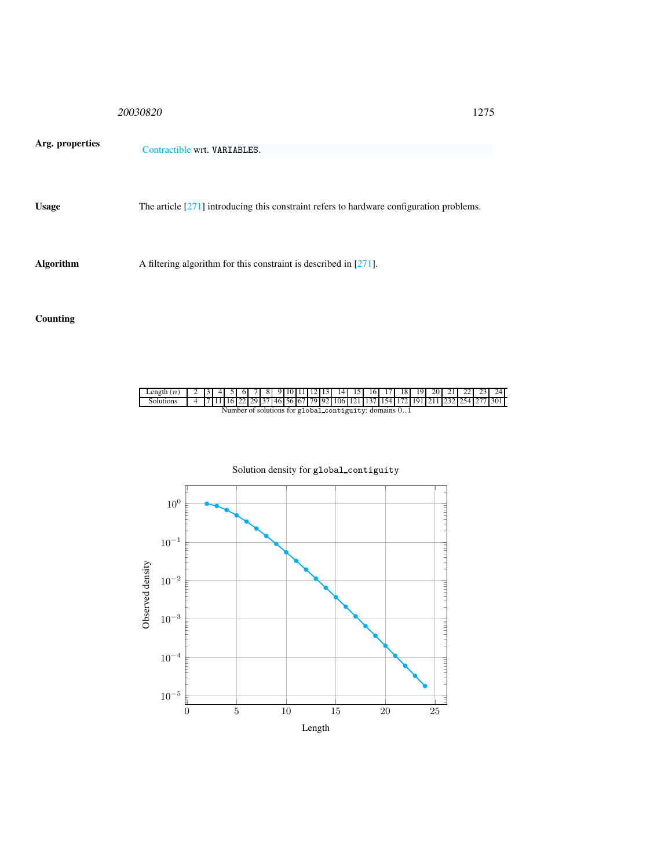|                  | 20030820                                                                                   | 1275 |
|------------------|--------------------------------------------------------------------------------------------|------|
| Arg. properties  | Contractible wrt. VARIABLES.                                                               |      |
| <b>Usage</b>     | The article $[271]$ introducing this constraint refers to hardware configuration problems. |      |
| <b>Algorithm</b> | A filtering algorithm for this constraint is described in $[271]$ .                        |      |

## Counting

| Length $(n)$                                           |  |  |  |  |  |  |  |  |  |  |  |  |  |  | 1 2 3 4 5 6 7 8 9 10 11 12 13 14 15 16 17 18 19 20 21 22 23 24                                                            |
|--------------------------------------------------------|--|--|--|--|--|--|--|--|--|--|--|--|--|--|---------------------------------------------------------------------------------------------------------------------------|
| <b>Solutions</b>                                       |  |  |  |  |  |  |  |  |  |  |  |  |  |  | 4   7   11   16   22   29   37   46   56   67   79   92   106   121   137   154   172   191   211   232   254   277   301 |
| Number of solutions for global contiguity: domains 0.1 |  |  |  |  |  |  |  |  |  |  |  |  |  |  |                                                                                                                           |

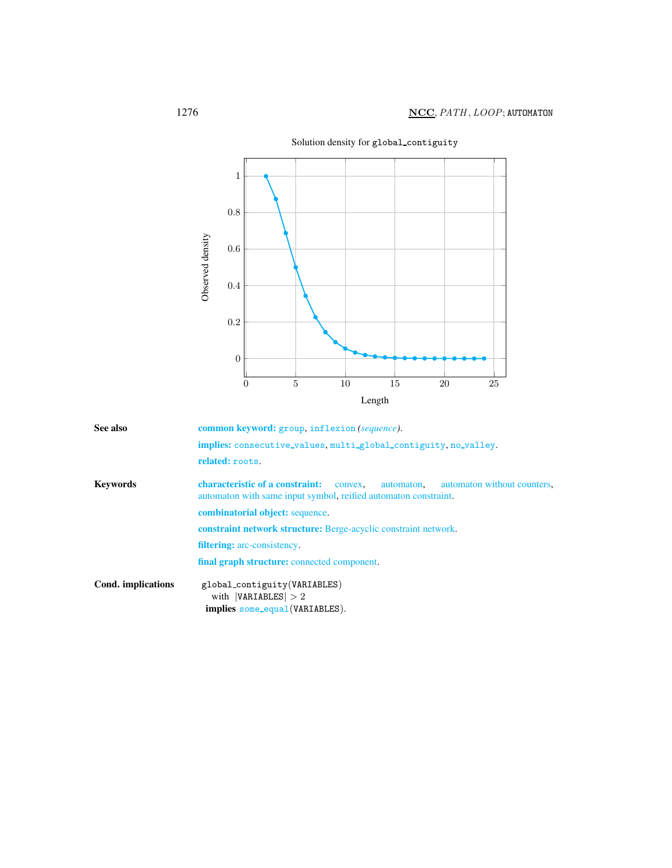

<span id="page-2-0"></span>See also common keyword: group, inflexion *(sequence)*. implies: consecutive values, multi global contiguity, no valley. related: roots. Keywords characteristic of a constraint: convex, automaton, automaton without counters, automaton with same input symbol, reified automaton constraint. combinatorial object: sequence. constraint network structure: Berge-acyclic constraint network. filtering: arc-consistency. final graph structure: connected component. Cond. implications global contiguity(VARIABLES) with  $|VARIABLES| > 2$ implies some equal(VARIABLES).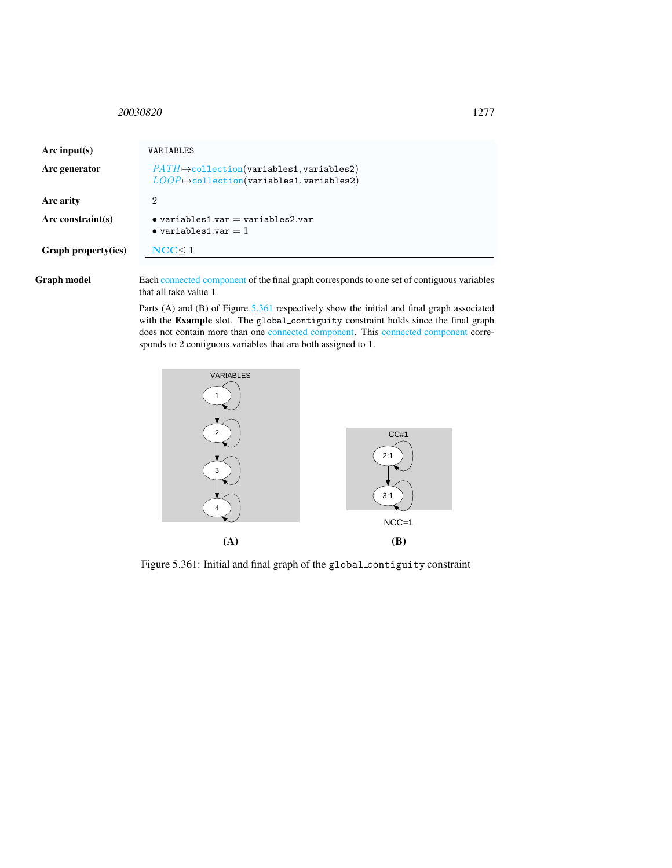## <span id="page-3-0"></span><sup>20030820</sup> 1277

| Arc input(s)         | VARIABLES                                                                                                                  |
|----------------------|----------------------------------------------------------------------------------------------------------------------------|
| Arc generator        | $PATH \rightarrow collection(variables1, variables2)$<br>$\textit{LOOP} \mapsto \text{collection}(variables1, variables2)$ |
| Arc arity            | 2                                                                                                                          |
| Arc constraint $(s)$ | $\bullet$ variables1.var = variables2.var<br>$\bullet$ variables1.var = 1                                                  |
| Graph property(ies)  | NCC < 1                                                                                                                    |

Graph model Each connected component of the final graph corresponds to one set of contiguous variables that all take value 1.

> Parts (A) and (B) of Figure [5.361](#page-3-1) respectively show the initial and final graph associated with the Example slot. The global\_contiguity constraint holds since the final graph does not contain more than one connected component. This connected component corresponds to 2 contiguous variables that are both assigned to 1.



<span id="page-3-1"></span>Figure 5.361: Initial and final graph of the global contiguity constraint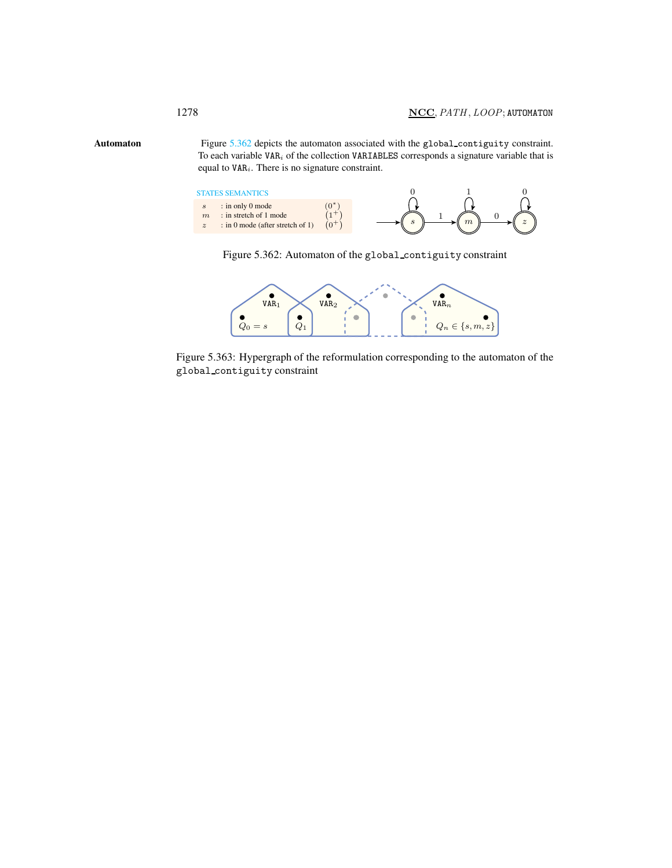Automaton Figure [5.362](#page-4-1) depicts the automaton associated with the global contiguity constraint. To each variable  $VAR<sub>i</sub>$  of the collection VARIABLES corresponds a signature variable that is equal to  $VAR<sub>i</sub>$ . There is no signature constraint.

<span id="page-4-0"></span>



<span id="page-4-1"></span>

Figure 5.363: Hypergraph of the reformulation corresponding to the automaton of the global contiguity constraint